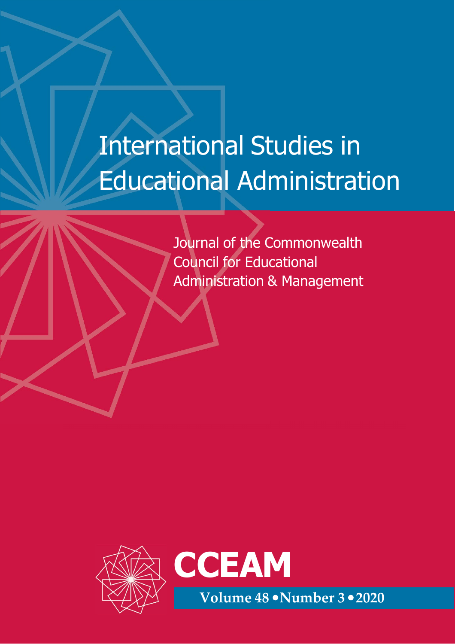## International Studies in Educational Administration

Journal of the Commonwealth Council for Educational Administration & Management

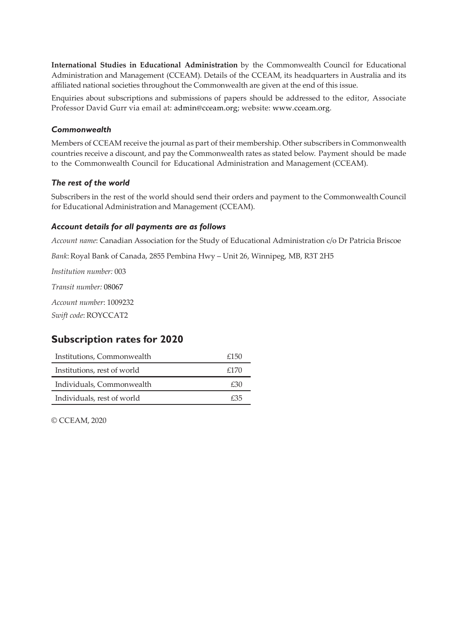**International Studies in Educational Administration** by the Commonwealth Council for Educational Administration and Management (CCEAM). Details of the CCEAM, its headquarters in Australia and its affiliated national societies throughout the Commonwealth are given at the end of this issue.

Enquiries about subscriptions and submissions of papers should be addressed to the editor, Associate Professor David Gurr via email at: admin@cceam.org; website: www.cceam.org.

#### *Commonwealth*

Members of CCEAM receive the journal as part of their membership. Other subscribers in Commonwealth countries receive a discount, and pay the Commonwealth rates as stated below. Payment should be made to the Commonwealth Council for Educational Administration and Management (CCEAM).

#### *The rest of the world*

Subscribers in the rest of the world should send their orders and payment to the Commonwealth Council for Educational Administration and Management (CCEAM).

#### *Account details for all payments are as follows*

*Account name*: Canadian Association for the Study of Educational Administration c/o Dr Patricia Briscoe

*Bank*: Royal Bank of Canada, 2855 Pembina Hwy – Unit 26, Winnipeg, MB, R3T 2H5

*Institution number:* 003

*Transit number:* 08067

*Account number*: 1009232

*Swift code*: ROYCCAT2

#### **Subscription rates for 2020**

| Institutions, Commonwealth  | £150 |
|-----------------------------|------|
| Institutions, rest of world | £170 |
| Individuals, Commonwealth   | £30  |
| Individuals, rest of world  | £35  |

© CCEAM, 2020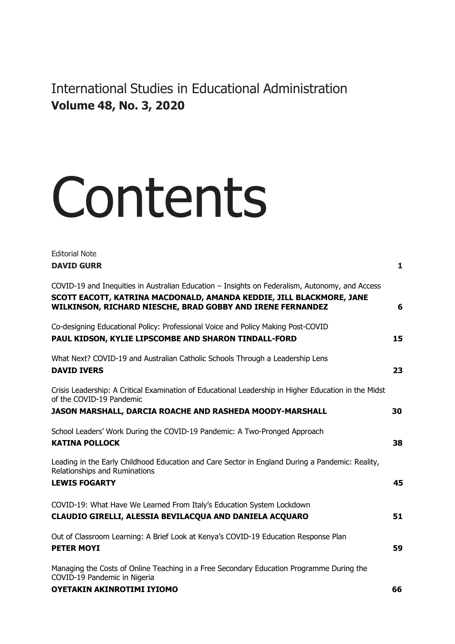International Studies in Educational Administration **Volume 48, No. 3, 2020**

# **Contents**

| <b>Editorial Note</b>                                                                                                                                                                                                                |    |
|--------------------------------------------------------------------------------------------------------------------------------------------------------------------------------------------------------------------------------------|----|
| <b>DAVID GURR</b>                                                                                                                                                                                                                    | 1  |
| COVID-19 and Inequities in Australian Education – Insights on Federalism, Autonomy, and Access<br>SCOTT EACOTT, KATRINA MACDONALD, AMANDA KEDDIE, JILL BLACKMORE, JANE<br>WILKINSON, RICHARD NIESCHE, BRAD GOBBY AND IRENE FERNANDEZ | 6  |
| Co-designing Educational Policy: Professional Voice and Policy Making Post-COVID<br>PAUL KIDSON, KYLIE LIPSCOMBE AND SHARON TINDALL-FORD                                                                                             | 15 |
| What Next? COVID-19 and Australian Catholic Schools Through a Leadership Lens<br><b>DAVID IVERS</b>                                                                                                                                  | 23 |
| Crisis Leadership: A Critical Examination of Educational Leadership in Higher Education in the Midst<br>of the COVID-19 Pandemic<br><b>JASON MARSHALL, DARCIA ROACHE AND RASHEDA MOODY-MARSHALL</b>                                  | 30 |
|                                                                                                                                                                                                                                      |    |
| School Leaders' Work During the COVID-19 Pandemic: A Two-Pronged Approach<br><b>KATINA POLLOCK</b>                                                                                                                                   | 38 |
| Leading in the Early Childhood Education and Care Sector in England During a Pandemic: Reality,<br>Relationships and Ruminations                                                                                                     |    |
| <b>LEWIS FOGARTY</b>                                                                                                                                                                                                                 | 45 |
| COVID-19: What Have We Learned From Italy's Education System Lockdown<br>CLAUDIO GIRELLI, ALESSIA BEVILACQUA AND DANIELA ACQUARO                                                                                                     | 51 |
| Out of Classroom Learning: A Brief Look at Kenya's COVID-19 Education Response Plan<br><b>PETER MOYI</b>                                                                                                                             | 59 |
| Managing the Costs of Online Teaching in a Free Secondary Education Programme During the<br>COVID-19 Pandemic in Nigeria                                                                                                             |    |
| <b>OYETAKIN AKINROTIMI IYIOMO</b>                                                                                                                                                                                                    | 66 |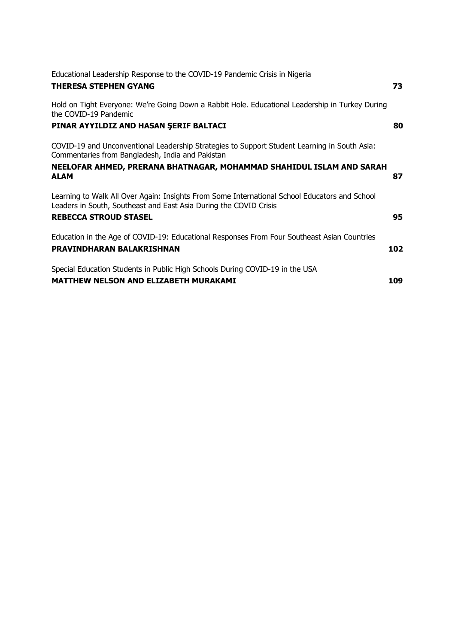| Educational Leadership Response to the COVID-19 Pandemic Crisis in Nigeria                                                                                         |     |
|--------------------------------------------------------------------------------------------------------------------------------------------------------------------|-----|
| <b>THERESA STEPHEN GYANG</b>                                                                                                                                       | 73  |
| Hold on Tight Everyone: We're Going Down a Rabbit Hole. Educational Leadership in Turkey During<br>the COVID-19 Pandemic                                           |     |
| PINAR AYYILDIZ AND HASAN SERIF BALTACI                                                                                                                             | 80  |
| COVID-19 and Unconventional Leadership Strategies to Support Student Learning in South Asia:<br>Commentaries from Bangladesh, India and Pakistan                   |     |
| NEELOFAR AHMED, PRERANA BHATNAGAR, MOHAMMAD SHAHIDUL ISLAM AND SARAH<br><b>ALAM</b>                                                                                | 87  |
| Learning to Walk All Over Again: Insights From Some International School Educators and School<br>Leaders in South, Southeast and East Asia During the COVID Crisis |     |
| <b>REBECCA STROUD STASEL</b>                                                                                                                                       | 95  |
| Education in the Age of COVID-19: Educational Responses From Four Southeast Asian Countries<br>PRAVINDHARAN BALAKRISHNAN                                           | 102 |
| Special Education Students in Public High Schools During COVID-19 in the USA<br><b>MATTHEW NELSON AND ELIZABETH MURAKAMI</b>                                       | 109 |
|                                                                                                                                                                    |     |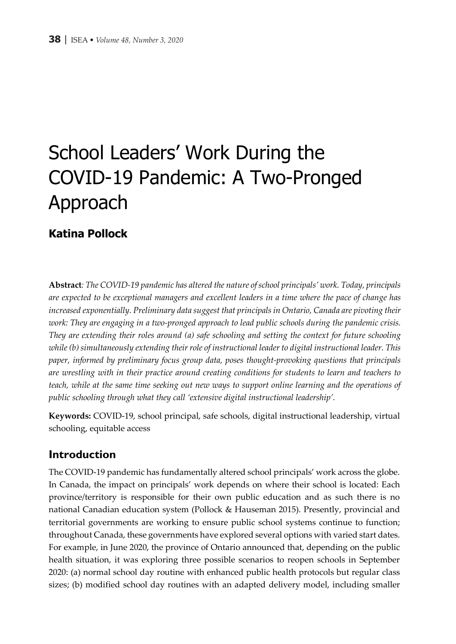### School Leaders' Work During the COVID-19 Pandemic: A Two-Pronged Approach

#### **Katina Pollock**

**Abstract***: The COVID-19 pandemic has altered the nature of school principals' work. Today, principals are expected to be exceptional managers and excellent leaders in a time where the pace of change has increased exponentially. Preliminary data suggest that principals in Ontario, Canada are pivoting their work: They are engaging in a two-pronged approach to lead public schools during the pandemic crisis. They are extending their roles around (a) safe schooling and setting the context for future schooling while (b) simultaneously extending their role of instructional leader to digital instructional leader. This paper, informed by preliminary focus group data, poses thought-provoking questions that principals are wrestling with in their practice around creating conditions for students to learn and teachers to teach, while at the same time seeking out new ways to support online learning and the operations of public schooling through what they call 'extensive digital instructional leadership'.*

**Keywords:** COVID-19, school principal, safe schools, digital instructional leadership, virtual schooling, equitable access

#### **Introduction**

The COVID-19 pandemic has fundamentally altered school principals' work across the globe. In Canada, the impact on principals' work depends on where their school is located: Each province/territory is responsible for their own public education and as such there is no national Canadian education system (Pollock & Hauseman 2015). Presently, provincial and territorial governments are working to ensure public school systems continue to function; throughout Canada, these governments have explored several options with varied start dates. For example, in June 2020, the province of Ontario announced that, depending on the public health situation, it was exploring three possible scenarios to reopen schools in September 2020: (a) normal school day routine with enhanced public health protocols but regular class sizes; (b) modified school day routines with an adapted delivery model, including smaller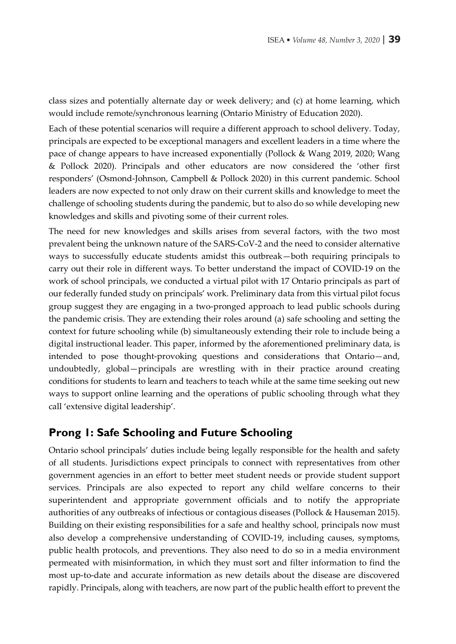class sizes and potentially alternate day or week delivery; and (c) at home learning, which would include remote/synchronous learning (Ontario Ministry of Education 2020).

Each of these potential scenarios will require a different approach to school delivery. Today, principals are expected to be exceptional managers and excellent leaders in a time where the pace of change appears to have increased exponentially (Pollock & Wang 2019, 2020; Wang & Pollock 2020). Principals and other educators are now considered the 'other first responders' (Osmond-Johnson, Campbell & Pollock 2020) in this current pandemic. School leaders are now expected to not only draw on their current skills and knowledge to meet the challenge of schooling students during the pandemic, but to also do so while developing new knowledges and skills and pivoting some of their current roles.

The need for new knowledges and skills arises from several factors, with the two most prevalent being the unknown nature of the SARS-CoV-2 and the need to consider alternative ways to successfully educate students amidst this outbreak—both requiring principals to carry out their role in different ways. To better understand the impact of COVID-19 on the work of school principals, we conducted a virtual pilot with 17 Ontario principals as part of our federally funded study on principals' work. Preliminary data from this virtual pilot focus group suggest they are engaging in a two-pronged approach to lead public schools during the pandemic crisis. They are extending their roles around (a) safe schooling and setting the context for future schooling while (b) simultaneously extending their role to include being a digital instructional leader. This paper, informed by the aforementioned preliminary data, is intended to pose thought-provoking questions and considerations that Ontario—and, undoubtedly, global—principals are wrestling with in their practice around creating conditions for students to learn and teachers to teach while at the same time seeking out new ways to support online learning and the operations of public schooling through what they call 'extensive digital leadership'.

#### **Prong 1: Safe Schooling and Future Schooling**

Ontario school principals' duties include being legally responsible for the health and safety of all students. Jurisdictions expect principals to connect with representatives from other government agencies in an effort to better meet student needs or provide student support services. Principals are also expected to report any child welfare concerns to their superintendent and appropriate government officials and to notify the appropriate authorities of any outbreaks of infectious or contagious diseases (Pollock & Hauseman 2015). Building on their existing responsibilities for a safe and healthy school, principals now must also develop a comprehensive understanding of COVID-19, including causes, symptoms, public health protocols, and preventions. They also need to do so in a media environment permeated with misinformation, in which they must sort and filter information to find the most up-to-date and accurate information as new details about the disease are discovered rapidly. Principals, along with teachers, are now part of the public health effort to prevent the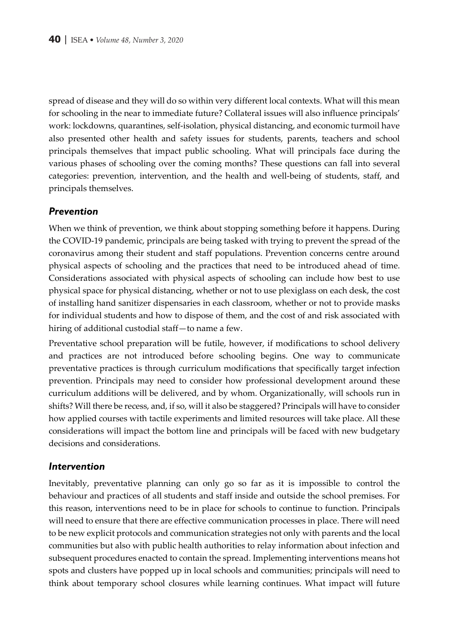spread of disease and they will do so within very different local contexts. What will this mean for schooling in the near to immediate future? Collateral issues will also influence principals' work: lockdowns, quarantines, self-isolation, physical distancing, and economic turmoil have also presented other health and safety issues for students, parents, teachers and school principals themselves that impact public schooling. What will principals face during the various phases of schooling over the coming months? These questions can fall into several categories: prevention, intervention, and the health and well-being of students, staff, and principals themselves.

#### *Prevention*

When we think of prevention, we think about stopping something before it happens. During the COVID-19 pandemic, principals are being tasked with trying to prevent the spread of the coronavirus among their student and staff populations. Prevention concerns centre around physical aspects of schooling and the practices that need to be introduced ahead of time. Considerations associated with physical aspects of schooling can include how best to use physical space for physical distancing, whether or not to use plexiglass on each desk, the cost of installing hand sanitizer dispensaries in each classroom, whether or not to provide masks for individual students and how to dispose of them, and the cost of and risk associated with hiring of additional custodial staff—to name a few.

Preventative school preparation will be futile, however, if modifications to school delivery and practices are not introduced before schooling begins. One way to communicate preventative practices is through curriculum modifications that specifically target infection prevention. Principals may need to consider how professional development around these curriculum additions will be delivered, and by whom. Organizationally, will schools run in shifts? Will there be recess, and, if so, will it also be staggered? Principals will have to consider how applied courses with tactile experiments and limited resources will take place. All these considerations will impact the bottom line and principals will be faced with new budgetary decisions and considerations.

#### *Intervention*

Inevitably, preventative planning can only go so far as it is impossible to control the behaviour and practices of all students and staff inside and outside the school premises. For this reason, interventions need to be in place for schools to continue to function. Principals will need to ensure that there are effective communication processes in place. There will need to be new explicit protocols and communication strategies not only with parents and the local communities but also with public health authorities to relay information about infection and subsequent procedures enacted to contain the spread. Implementing interventions means hot spots and clusters have popped up in local schools and communities; principals will need to think about temporary school closures while learning continues. What impact will future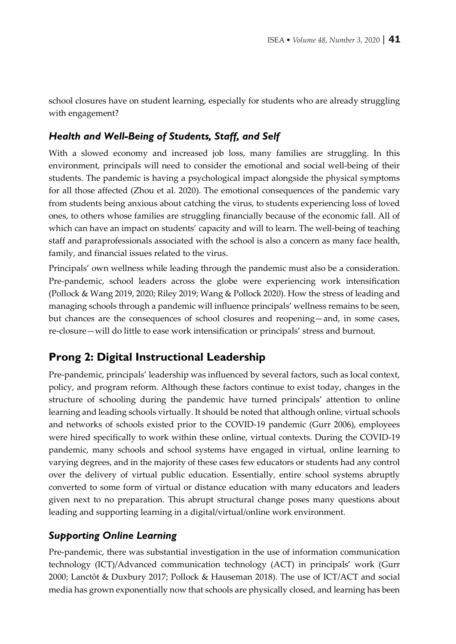school closures have on student learning, especially for students who are already struggling with engagement?

#### *Health and Well-Being of Students, Staff, and Self*

With a slowed economy and increased job loss, many families are struggling. In this environment, principals will need to consider the emotional and social well-being of their students. The pandemic is having a psychological impact alongside the physical symptoms for all those affected (Zhou et al. 2020). The emotional consequences of the pandemic vary from students being anxious about catching the virus, to students experiencing loss of loved ones, to others whose families are struggling financially because of the economic fall. All of which can have an impact on students' capacity and will to learn. The well-being of teaching staff and paraprofessionals associated with the school is also a concern as many face health, family, and financial issues related to the virus.

Principals' own wellness while leading through the pandemic must also be a consideration. Pre-pandemic, school leaders across the globe were experiencing work intensification (Pollock & Wang 2019, 2020; Riley 2019; Wang & Pollock 2020). How the stress of leading and managing schools through a pandemic will influence principals' wellness remains to be seen, but chances are the consequences of school closures and reopening—and, in some cases, re-closure—will do little to ease work intensification or principals' stress and burnout.

#### **Prong 2: Digital Instructional Leadership**

Pre-pandemic, principals' leadership was influenced by several factors, such as local context, policy, and program reform. Although these factors continue to exist today, changes in the structure of schooling during the pandemic have turned principals' attention to online learning and leading schools virtually. It should be noted that although online, virtual schools and networks of schools existed prior to the COVID-19 pandemic (Gurr 2006), employees were hired specifically to work within these online, virtual contexts. During the COVID-19 pandemic, many schools and school systems have engaged in virtual, online learning to varying degrees, and in the majority of these cases few educators or students had any control over the delivery of virtual public education. Essentially, entire school systems abruptly converted to some form of virtual or distance education with many educators and leaders given next to no preparation. This abrupt structural change poses many questions about leading and supporting learning in a digital/virtual/online work environment.

#### *Supporting Online Learning*

Pre-pandemic, there was substantial investigation in the use of information communication technology (ICT)/Advanced communication technology (ACT) in principals' work (Gurr 2000; Lanctôt & Duxbury 2017; Pollock & Hauseman 2018). The use of ICT/ACT and social media has grown exponentially now that schools are physically closed, and learning has been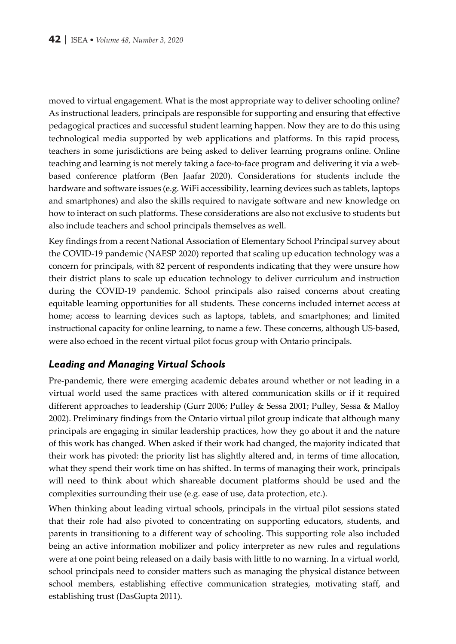moved to virtual engagement. What is the most appropriate way to deliver schooling online? As instructional leaders, principals are responsible for supporting and ensuring that effective pedagogical practices and successful student learning happen. Now they are to do this using technological media supported by web applications and platforms. In this rapid process, teachers in some jurisdictions are being asked to deliver learning programs online. Online teaching and learning is not merely taking a face-to-face program and delivering it via a webbased conference platform (Ben Jaafar 2020). Considerations for students include the hardware and software issues (e.g. WiFi accessibility, learning devices such as tablets, laptops and smartphones) and also the skills required to navigate software and new knowledge on how to interact on such platforms. These considerations are also not exclusive to students but also include teachers and school principals themselves as well.

Key findings from a recent National Association of Elementary School Principal survey about the COVID-19 pandemic (NAESP 2020) reported that scaling up education technology was a concern for principals, with 82 percent of respondents indicating that they were unsure how their district plans to scale up education technology to deliver curriculum and instruction during the COVID-19 pandemic. School principals also raised concerns about creating equitable learning opportunities for all students. These concerns included internet access at home; access to learning devices such as laptops, tablets, and smartphones; and limited instructional capacity for online learning, to name a few. These concerns, although US-based, were also echoed in the recent virtual pilot focus group with Ontario principals.

#### *Leading and Managing Virtual Schools*

Pre-pandemic, there were emerging academic debates around whether or not leading in a virtual world used the same practices with altered communication skills or if it required different approaches to leadership (Gurr 2006; Pulley & Sessa 2001; Pulley, Sessa & Malloy 2002). Preliminary findings from the Ontario virtual pilot group indicate that although many principals are engaging in similar leadership practices, how they go about it and the nature of this work has changed. When asked if their work had changed, the majority indicated that their work has pivoted: the priority list has slightly altered and, in terms of time allocation, what they spend their work time on has shifted. In terms of managing their work, principals will need to think about which shareable document platforms should be used and the complexities surrounding their use (e.g. ease of use, data protection, etc.).

When thinking about leading virtual schools, principals in the virtual pilot sessions stated that their role had also pivoted to concentrating on supporting educators, students, and parents in transitioning to a different way of schooling. This supporting role also included being an active information mobilizer and policy interpreter as new rules and regulations were at one point being released on a daily basis with little to no warning. In a virtual world, school principals need to consider matters such as managing the physical distance between school members, establishing effective communication strategies, motivating staff, and establishing trust (DasGupta 2011).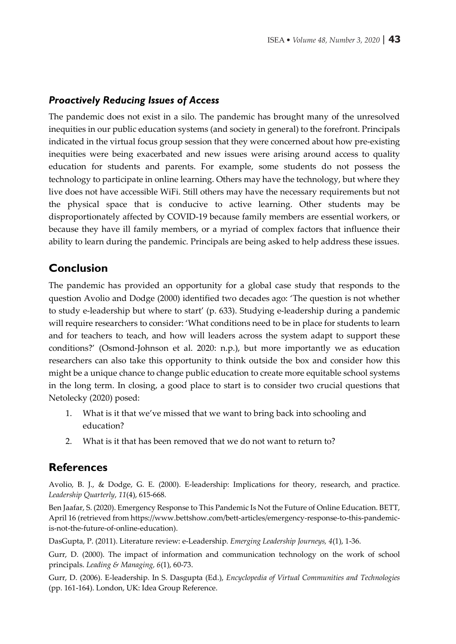#### *Proactively Reducing Issues of Access*

The pandemic does not exist in a silo. The pandemic has brought many of the unresolved inequities in our public education systems (and society in general) to the forefront. Principals indicated in the virtual focus group session that they were concerned about how pre-existing inequities were being exacerbated and new issues were arising around access to quality education for students and parents. For example, some students do not possess the technology to participate in online learning. Others may have the technology, but where they live does not have accessible WiFi. Still others may have the necessary requirements but not the physical space that is conducive to active learning. Other students may be disproportionately affected by COVID-19 because family members are essential workers, or because they have ill family members, or a myriad of complex factors that influence their ability to learn during the pandemic. Principals are being asked to help address these issues.

#### **Conclusion**

The pandemic has provided an opportunity for a global case study that responds to the question Avolio and Dodge (2000) identified two decades ago: 'The question is not whether to study e-leadership but where to start' (p. 633). Studying e-leadership during a pandemic will require researchers to consider: 'What conditions need to be in place for students to learn and for teachers to teach, and how will leaders across the system adapt to support these conditions?' (Osmond-Johnson et al. 2020: n.p.), but more importantly we as education researchers can also take this opportunity to think outside the box and consider how this might be a unique chance to change public education to create more equitable school systems in the long term. In closing, a good place to start is to consider two crucial questions that Netolecky (2020) posed:

- 1. What is it that we've missed that we want to bring back into schooling and education?
- 2. What is it that has been removed that we do not want to return to?

#### **References**

Avolio, B. J., & Dodge, G. E. (2000). E-leadership: Implications for theory, research, and practice. *Leadership Quarterly*, *11*(4), 615-668.

Ben Jaafar, S. (2020). Emergency Response to This Pandemic Is Not the Future of Online Education. BETT, April 16 (retrieved from https://www.bettshow.com/bett-articles/emergency-response-to-this-pandemicis-not-the-future-of-online-education).

DasGupta, P. (2011). Literature review: e-Leadership. *Emerging Leadership Journeys, 4*(1), 1-36.

Gurr, D. (2000). The impact of information and communication technology on the work of school principals. *Leading & Managing, 6*(1), 60-73.

Gurr, D. (2006). E-leadership. In S. Dasgupta (Ed.), *Encyclopedia of Virtual Communities and Technologies*  (pp. 161-164). London, UK: Idea Group Reference.